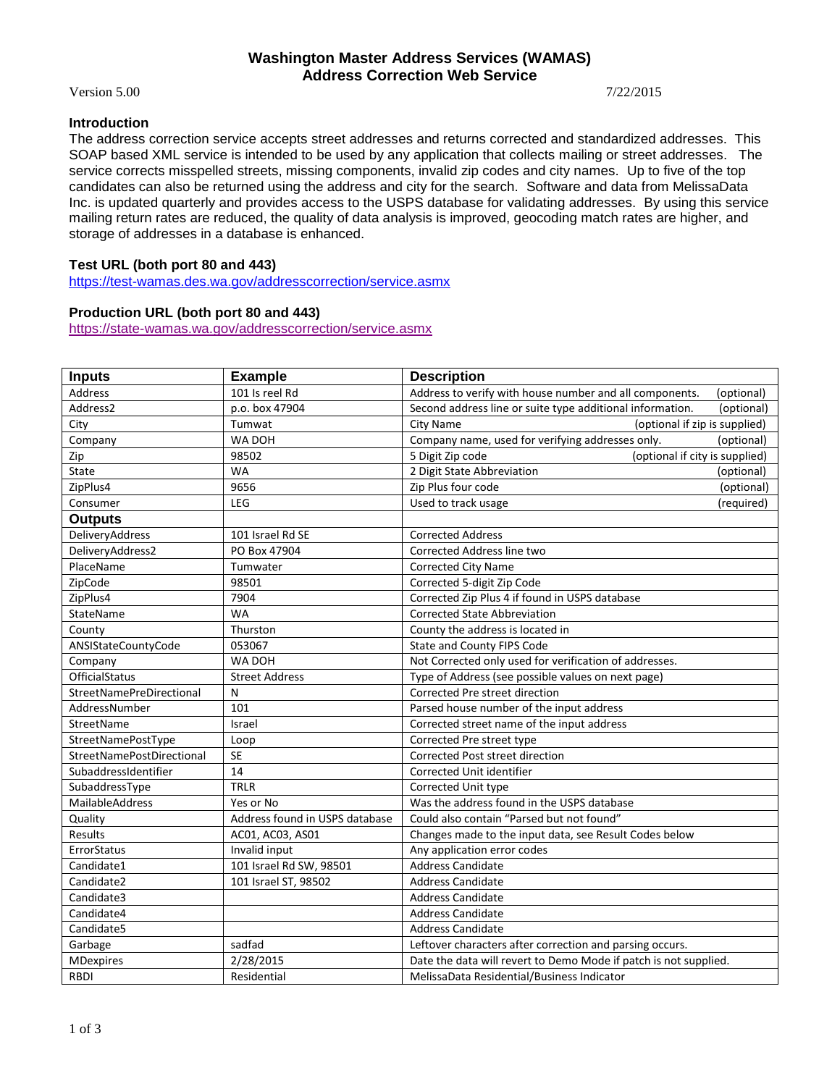# **Washington Master Address Services (WAMAS) Address Correction Web Service**

Version 5.00 7/22/2015

# **Introduction**

The address correction service accepts street addresses and returns corrected and standardized addresses. This SOAP based XML service is intended to be used by any application that collects mailing or street addresses. The service corrects misspelled streets, missing components, invalid zip codes and city names. Up to five of the top candidates can also be returned using the address and city for the search. Software and data from MelissaData Inc. is updated quarterly and provides access to the USPS database for validating addresses. By using this service mailing return rates are reduced, the quality of data analysis is improved, geocoding match rates are higher, and storage of addresses in a database is enhanced.

# **Test URL (both port 80 and 443)**

<https://test-wamas.des.wa.gov/addresscorrection/service.asmx>

# **Production URL (both port 80 and 443)**

<https://state-wamas.wa.gov/addresscorrection/service.asmx>

| <b>Inputs</b>                   | <b>Example</b>                 | <b>Description</b>                                                      |  |  |
|---------------------------------|--------------------------------|-------------------------------------------------------------------------|--|--|
| Address                         | 101 Is reel Rd                 | Address to verify with house number and all components.<br>(optional)   |  |  |
| Address2                        | p.o. box 47904                 | Second address line or suite type additional information.<br>(optional) |  |  |
| City                            | Tumwat                         | (optional if zip is supplied)<br><b>City Name</b>                       |  |  |
| Company                         | WA DOH                         | Company name, used for verifying addresses only.<br>(optional)          |  |  |
| Zip                             | 98502                          | 5 Digit Zip code<br>(optional if city is supplied)                      |  |  |
| State                           | <b>WA</b>                      | 2 Digit State Abbreviation<br>(optional)                                |  |  |
| ZipPlus4                        | 9656                           | Zip Plus four code<br>(optional)                                        |  |  |
| Consumer                        | LEG                            | Used to track usage<br>(required)                                       |  |  |
| <b>Outputs</b>                  |                                |                                                                         |  |  |
| DeliveryAddress                 | 101 Israel Rd SE               | <b>Corrected Address</b>                                                |  |  |
| DeliveryAddress2                | PO Box 47904                   | Corrected Address line two                                              |  |  |
| PlaceName                       | Tumwater                       | <b>Corrected City Name</b>                                              |  |  |
| ZipCode                         | 98501                          | Corrected 5-digit Zip Code                                              |  |  |
| ZipPlus4                        | 7904                           | Corrected Zip Plus 4 if found in USPS database                          |  |  |
| StateName                       | <b>WA</b>                      | <b>Corrected State Abbreviation</b>                                     |  |  |
| County                          | Thurston                       | County the address is located in                                        |  |  |
| ANSIStateCountyCode             | 053067                         | State and County FIPS Code                                              |  |  |
| Company                         | WA DOH                         | Not Corrected only used for verification of addresses.                  |  |  |
| <b>OfficialStatus</b>           | <b>Street Address</b>          | Type of Address (see possible values on next page)                      |  |  |
| <b>StreetNamePreDirectional</b> | N                              | Corrected Pre street direction                                          |  |  |
| AddressNumber                   | 101                            | Parsed house number of the input address                                |  |  |
| StreetName                      | Israel                         | Corrected street name of the input address                              |  |  |
| StreetNamePostType              | Loop                           | Corrected Pre street type                                               |  |  |
| StreetNamePostDirectional       | <b>SE</b>                      | Corrected Post street direction                                         |  |  |
| SubaddressIdentifier            | 14                             | Corrected Unit identifier                                               |  |  |
| SubaddressType                  | <b>TRLR</b>                    | Corrected Unit type                                                     |  |  |
| MailableAddress                 | Yes or No                      | Was the address found in the USPS database                              |  |  |
| Quality                         | Address found in USPS database | Could also contain "Parsed but not found"                               |  |  |
| Results                         | AC01, AC03, AS01               | Changes made to the input data, see Result Codes below                  |  |  |
| ErrorStatus                     | Invalid input                  | Any application error codes                                             |  |  |
| Candidate1                      | 101 Israel Rd SW, 98501        | <b>Address Candidate</b>                                                |  |  |
| Candidate2                      | 101 Israel ST, 98502           | <b>Address Candidate</b>                                                |  |  |
| Candidate3                      |                                | <b>Address Candidate</b>                                                |  |  |
| Candidate4                      |                                | <b>Address Candidate</b>                                                |  |  |
| Candidate5                      |                                | <b>Address Candidate</b>                                                |  |  |
| Garbage                         | sadfad                         | Leftover characters after correction and parsing occurs.                |  |  |
| <b>MDexpires</b>                | 2/28/2015                      | Date the data will revert to Demo Mode if patch is not supplied.        |  |  |
| <b>RBDI</b>                     | Residential                    | MelissaData Residential/Business Indicator                              |  |  |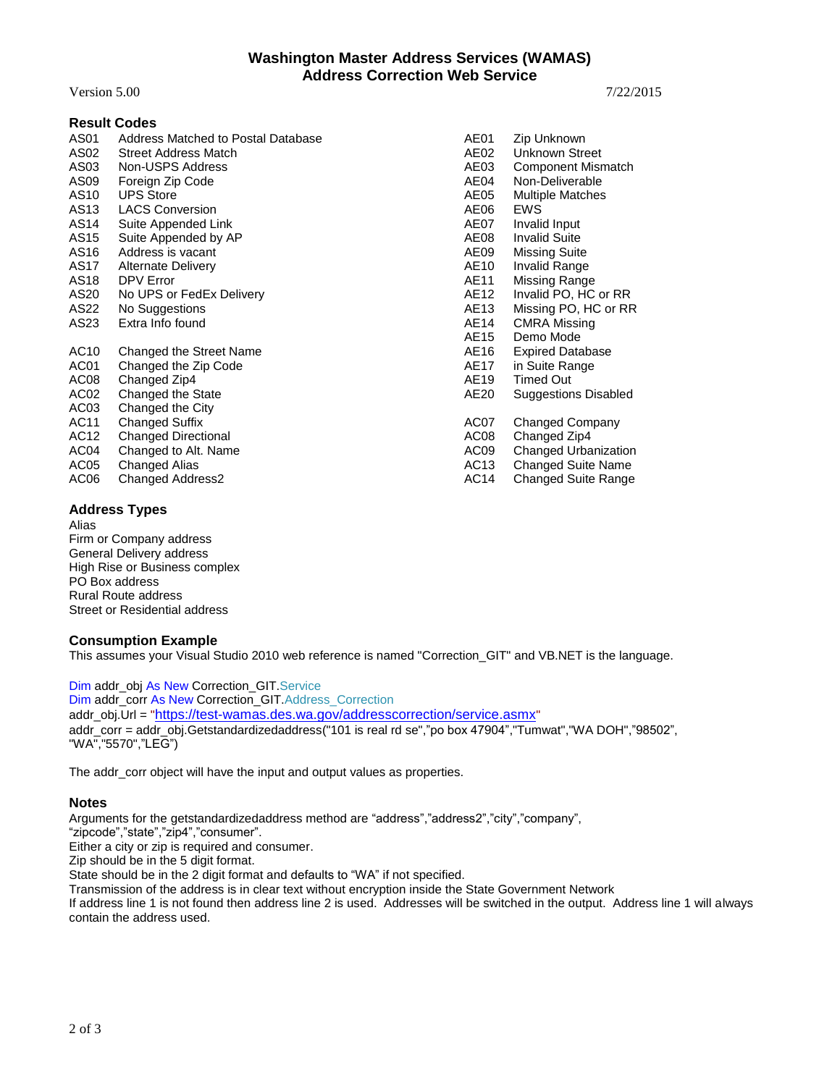# **Washington Master Address Services (WAMAS) Address Correction Web Service**

Version 5.00 7/22/2015

## **Result Codes**

|                  | nvoun vvuvu                        |      |                             |
|------------------|------------------------------------|------|-----------------------------|
| AS01             | Address Matched to Postal Database | AE01 | Zip Unknown                 |
| AS <sub>02</sub> | <b>Street Address Match</b>        | AE02 | Unknown Street              |
| AS03             | Non-USPS Address                   | AE03 | Component Mismatch          |
| AS09             | Foreign Zip Code                   | AE04 | Non-Deliverable             |
| AS10             | <b>UPS Store</b>                   | AE05 | <b>Multiple Matches</b>     |
| AS13             | <b>LACS Conversion</b>             | AE06 | EWS                         |
| AS14             | Suite Appended Link                | AE07 | Invalid Input               |
| AS15             | Suite Appended by AP               | AE08 | <b>Invalid Suite</b>        |
| AS16             | Address is vacant                  | AE09 | <b>Missing Suite</b>        |
| AS17             | <b>Alternate Delivery</b>          | AE10 | Invalid Range               |
| AS <sub>18</sub> | DPV Error                          | AE11 | Missing Range               |
| AS20             | No UPS or FedEx Delivery           | AE12 | Invalid PO, HC or RR        |
| AS22             | No Suggestions                     | AE13 | Missing PO, HC or RR        |
| AS23             | Extra Info found                   | AE14 | <b>CMRA Missing</b>         |
|                  |                                    | AE15 | Demo Mode                   |
| AC10             | Changed the Street Name            | AE16 | <b>Expired Database</b>     |
| AC01             | Changed the Zip Code               | AE17 | in Suite Range              |
| AC08             | Changed Zip4                       | AE19 | <b>Timed Out</b>            |
| AC <sub>02</sub> | Changed the State                  | AE20 | Suggestions Disabled        |
| AC03             | Changed the City                   |      |                             |
| AC11             | <b>Changed Suffix</b>              | AC07 | Changed Company             |
| AC12             | <b>Changed Directional</b>         | AC08 | Changed Zip4                |
| AC04             | Changed to Alt. Name               | AC09 | <b>Changed Urbanization</b> |
| AC <sub>05</sub> | <b>Changed Alias</b>               | AC13 | Changed Suite Name          |
| AC <sub>06</sub> | Changed Address2                   | AC14 | Changed Suite Range         |

## **Address Types**

Alias Firm or Company address General Delivery address High Rise or Business complex PO Box address Rural Route address Street or Residential address

## **Consumption Example**

This assumes your Visual Studio 2010 web reference is named "Correction\_GIT" and VB.NET is the language.

Dim addr\_obj As New Correction\_GIT.Service

Dim addr\_corr As New Correction\_GIT.Address\_Correction addr\_obj.Url = "<https://test-wamas.des.wa.gov/addresscorrection/service.asmx>" addr\_corr = addr\_obj.Getstandardizedaddress("101 is real rd se","po box 47904","Tumwat","WA DOH","98502", "WA","5570","LEG")

The addr\_corr object will have the input and output values as properties.

### **Notes**

Arguments for the getstandardizedaddress method are "address","address2","city","company",

"zipcode","state","zip4","consumer".

Either a city or zip is required and consumer.

Zip should be in the 5 digit format.

State should be in the 2 digit format and defaults to "WA" if not specified.

Transmission of the address is in clear text without encryption inside the State Government Network

If address line 1 is not found then address line 2 is used. Addresses will be switched in the output. Address line 1 will always contain the address used.